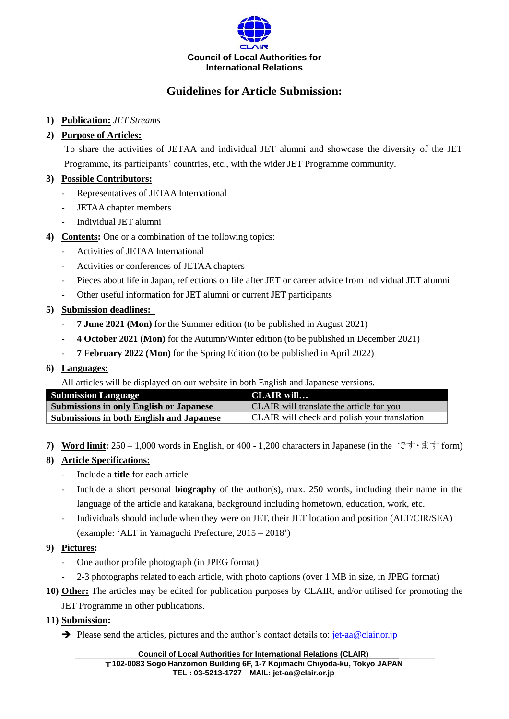

# **Guidelines for Article Submission:**

## **1) Publication:** *JET Streams*

## **2) Purpose of Articles:**

To share the activities of JETAA and individual JET alumni and showcase the diversity of the JET Programme, its participants' countries, etc., with the wider JET Programme community.

## **3) Possible Contributors:**

- Representatives of JETAA International
- JETAA chapter members
- Individual JET alumni
- **4) Contents:** One or a combination of the following topics:
	- Activities of JETAA International
	- Activities or conferences of JETAA chapters
	- Pieces about life in Japan, reflections on life after JET or career advice from individual JET alumni
	- Other useful information for JET alumni or current JET participants

## **5) Submission deadlines:**

- **7 June 2021 (Mon)** for the Summer edition (to be published in August 2021)
- **4 October 2021 (Mon)** for the Autumn/Winter edition (to be published in December 2021)
- **7 February 2022 (Mon)** for the Spring Edition (to be published in April 2022)

#### **6) Languages:**

All articles will be displayed on our website in both English and Japanese versions.

| <b>Submission Language</b>                      | CLAIR will                                   |
|-------------------------------------------------|----------------------------------------------|
| <b>Submissions in only English or Japanese</b>  | CLAIR will translate the article for you     |
| <b>Submissions in both English and Japanese</b> | CLAIR will check and polish your translation |

**7) Word limit:** 250 – 1,000 words in English, or 400 - 1,200 characters in Japanese (in the です・ます form)

#### **8) Article Specifications:**

- Include a **title** for each article
- Include a short personal **biography** of the author(s), max. 250 words, including their name in the language of the article and katakana, background including hometown, education, work, etc.
- Individuals should include when they were on JET, their JET location and position (ALT/CIR/SEA) (example: 'ALT in Yamaguchi Prefecture, 2015 – 2018')

#### **9) Pictures:**

- One author profile photograph (in JPEG format)
- 2-3 photographs related to each article, with photo captions (over 1 MB in size, in JPEG format)
- **10) Other:** The articles may be edited for publication purposes by CLAIR, and/or utilised for promoting the JET Programme in other publications.
- **11) Submission:**
	- $\rightarrow$  Please send the articles, pictures and the author's contact details to[: jet-aa@clair.or.jp](mailto:jet-aa@clair.or.jp)